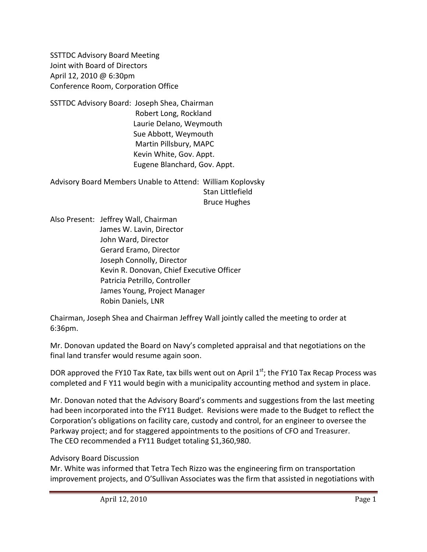SSTTDC Advisory Board Meeting Joint with Board of Directors April 12, 2010 @ 6:30pm Conference Room, Corporation Office

SSTTDC Advisory Board: Joseph Shea, Chairman Robert Long, Rockland Laurie Delano, Weymouth Sue Abbott, Weymouth Martin Pillsbury, MAPC Kevin White, Gov. Appt. Eugene Blanchard, Gov. Appt.

Advisory Board Members Unable to Attend: William Koplovsky Stan Littlefield Bruce Hughes

Also Present: Jeffrey Wall, Chairman James W. Lavin, Director John Ward, Director Gerard Eramo, Director Joseph Connolly, Director Kevin R. Donovan, Chief Executive Officer Patricia Petrillo, Controller James Young, Project Manager Robin Daniels, LNR

Chairman, Joseph Shea and Chairman Jeffrey Wall jointly called the meeting to order at 6:36pm.

Mr. Donovan updated the Board on Navy's completed appraisal and that negotiations on the final land transfer would resume again soon.

DOR approved the FY10 Tax Rate, tax bills went out on April  $1<sup>st</sup>$ ; the FY10 Tax Recap Process was completed and F Y11 would begin with a municipality accounting method and system in place.

Mr. Donovan noted that the Advisory Board's comments and suggestions from the last meeting had been incorporated into the FY11 Budget. Revisions were made to the Budget to reflect the Corporation's obligations on facility care, custody and control, for an engineer to oversee the Parkway project; and for staggered appointments to the positions of CFO and Treasurer. The CEO recommended a FY11 Budget totaling \$1,360,980.

#### Advisory Board Discussion

Mr. White was informed that Tetra Tech Rizzo was the engineering firm on transportation improvement projects, and O'Sullivan Associates was the firm that assisted in negotiations with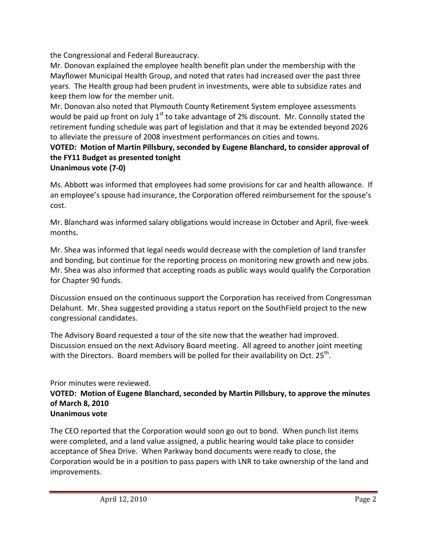the Congressional and Federal Bureaucracy.

Mr. Donovan explained the employee health benefit plan under the membership with the Mayflower Municipal Health Group, and noted that rates had increased over the past three years. The Health group had been prudent in investments, were able to subsidize rates and keep them low for the member unit.

Mr. Donovan also noted that Plymouth County Retirement System employee assessments would be paid up front on July  $1<sup>st</sup>$  to take advantage of 2% discount. Mr. Connolly stated the retirement funding schedule was part of legislation and that it may be extended beyond 2026 to alleviate the pressure of 2008 investment performances on cities and towns.

# **VOTED: Motion of Martin Pillsbury, seconded by Eugene Blanchard, to consider approval of the FY11 Budget as presented tonight**

### **Unanimous vote (7‐0)**

Ms. Abbott was informed that employees had some provisions for car and health allowance. If an employee's spouse had insurance, the Corporation offered reimbursement for the spouse's cost.

Mr. Blanchard was informed salary obligations would increase in October and April, five-week months.

Mr. Shea was informed that legal needs would decrease with the completion of land transfer and bonding, but continue for the reporting process on monitoring new growth and new jobs. Mr. Shea was also informed that accepting roads as public ways would qualify the Corporation for Chapter 90 funds.

Discussion ensued on the continuous support the Corporation has received from Congressman Delahunt. Mr. Shea suggested providing a status report on the SouthField project to the new congressional candidates.

The Advisory Board requested a tour of the site now that the weather had improved. Discussion ensued on the next Advisory Board meeting. All agreed to another joint meeting with the Directors. Board members will be polled for their availability on Oct.  $25^{th}$ .

# Prior minutes were reviewed.

#### **VOTED: Motion of Eugene Blanchard, seconded by Martin Pillsbury, to approve the minutes of March 8, 2010 Unanimous vote**

The CEO reported that the Corporation would soon go out to bond. When punch list items were completed, and a land value assigned, a public hearing would take place to consider acceptance of Shea Drive. When Parkway bond documents were ready to close, the Corporation would be in a position to pass papers with LNR to take ownership of the land and improvements.